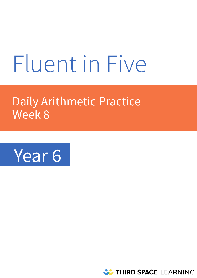# Fluent in Five

# Daily Arithmetic Practice Week 8



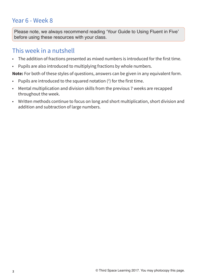# Year 6 - Week 8

**Please note, we always recommend reading 'Your Guide to Using Fluent in Five' before using these resources with your class.** 

# This week in a nutshell

- The addition of fractions presented as mixed numbers is introduced for the first time.
- Pupils are also introduced to multiplying fractions by whole numbers.

**Note:** For both of these styles of questions, answers can be given in any equivalent form.

- Pupils are introduced to the squared notation  $(2)$  for the first time.
- Mental multiplication and division skills from the previous 7 weeks are recapped throughout the week.
- Written methods continue to focus on long and short multiplication, short division and addition and subtraction of large numbers.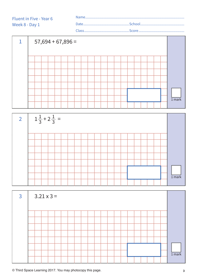Name........................................................................................................ Date................................................School.............................................. Class...............................................Score................................................ Fluent in Five - Year 6 Week 8 - Day 1





| $\overline{3}$ | $3.21 \times 3 =$ |  |  |  |  |  |  |  |  |  |  |  |  |          |
|----------------|-------------------|--|--|--|--|--|--|--|--|--|--|--|--|----------|
|                |                   |  |  |  |  |  |  |  |  |  |  |  |  |          |
|                |                   |  |  |  |  |  |  |  |  |  |  |  |  |          |
|                |                   |  |  |  |  |  |  |  |  |  |  |  |  |          |
|                |                   |  |  |  |  |  |  |  |  |  |  |  |  |          |
|                |                   |  |  |  |  |  |  |  |  |  |  |  |  |          |
|                |                   |  |  |  |  |  |  |  |  |  |  |  |  |          |
|                |                   |  |  |  |  |  |  |  |  |  |  |  |  |          |
|                |                   |  |  |  |  |  |  |  |  |  |  |  |  | $1$ mark |
|                |                   |  |  |  |  |  |  |  |  |  |  |  |  |          |

**© Third Space Learning 2017. You may photocopy this page. 3**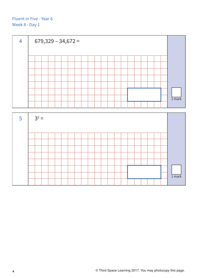

| $-5$ | $3^2 =$ |  |  |  |  |  |  |  |  |  |  |  |  |  |  |  |          |
|------|---------|--|--|--|--|--|--|--|--|--|--|--|--|--|--|--|----------|
|      |         |  |  |  |  |  |  |  |  |  |  |  |  |  |  |  |          |
|      |         |  |  |  |  |  |  |  |  |  |  |  |  |  |  |  |          |
|      |         |  |  |  |  |  |  |  |  |  |  |  |  |  |  |  |          |
|      |         |  |  |  |  |  |  |  |  |  |  |  |  |  |  |  |          |
|      |         |  |  |  |  |  |  |  |  |  |  |  |  |  |  |  |          |
|      |         |  |  |  |  |  |  |  |  |  |  |  |  |  |  |  |          |
|      |         |  |  |  |  |  |  |  |  |  |  |  |  |  |  |  | $1$ mark |
|      |         |  |  |  |  |  |  |  |  |  |  |  |  |  |  |  |          |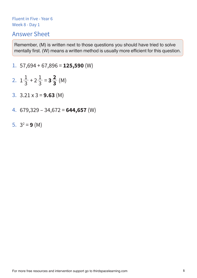# Answer Sheet

**Remember, (M) is written next to those questions you should have tried to solve mentally first. (W) means a written method is usually more efficient for this question.** 

- 1. 57,694 + 67,896 = **125,590** (W)
- 2.  $1\frac{1}{2} + 2\frac{1}{3} = 3\frac{2}{3}$  (M) **2 3** 1 3 1 3
- 3. 3.21 x 3 = **9.63** (M)
- 4. 679,329 34,672 = **644,657** (W)
- 5.  $3^2 = 9$  (M)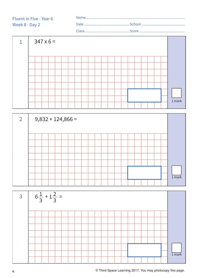



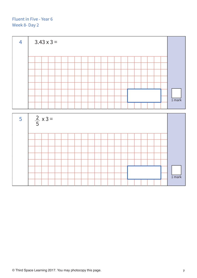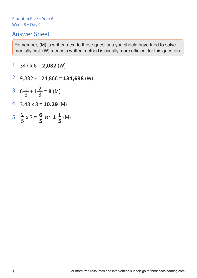# Answer Sheet

**Remember, (M) is written next to those questions you should have tried to solve mentally first. (W) means a written method is usually more efficient for this question.** 

1.  $347 \times 6 = 2,082$  (W)

- 2. 9,832 + 124,866 = **134,698** (W)
- 3.  $6\frac{1}{2} + 1\frac{2}{2} = 8$  (M) 1 3 2 3
- 4. 3.43 x 3 = **10.29** (M)
- 5.  $\frac{2}{5} \times 3 = \frac{6}{5}$  or  $1 \frac{1}{5}$  (M) **5 1 5** 2 5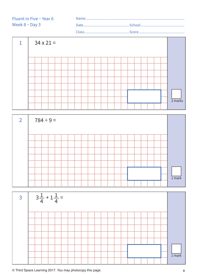Name........................................................................................................ Date................................................School.............................................. Class...............................................Score................................................

 $1 \mid 34 \times 21 =$ 2 marks





**© Third Space Learning 2017. You may photocopy this page. 9**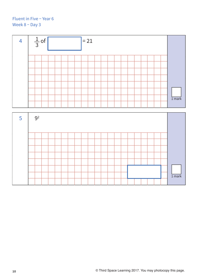

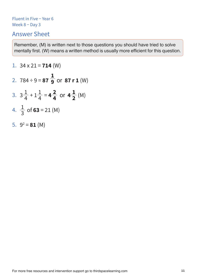# Answer Sheet

**Remember, (M) is written next to those questions you should have tried to solve mentally first. (W) means a written method is usually more efficient for this question.** 

1. 
$$
34 \times 21 = 714
$$
 (W)  
\n2.  $784 \div 9 = 87 \frac{1}{9}$  or  $87 \text{ r } 1$  (W)  
\n3.  $3\frac{1}{4} + 1\frac{1}{4} = 4\frac{2}{4}$  or  $4\frac{1}{2}$  (M)  
\n4.  $\frac{1}{3}$  of  $63 = 21$  (M)  
\n5.  $9^2 = 81$  (M)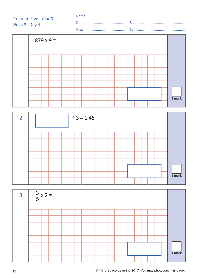| Fluent in Five - Year 6 |       |  |  |  |  |
|-------------------------|-------|--|--|--|--|
| Week 8 - Day 4          |       |  |  |  |  |
|                         | Class |  |  |  |  |





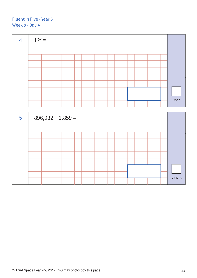

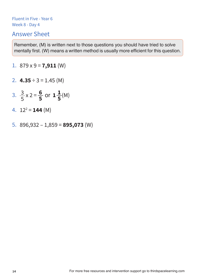# Answer Sheet

**Remember, (M) is written next to those questions you should have tried to solve mentally first. (W) means a written method is usually more efficient for this question.** 

- 1.  $879 \times 9 = 7,911 \, (W)$
- 2.  $4.35 \div 3 = 1.45$  (M)
- 3.  $\frac{3}{5} \times 2 = \frac{8}{5}$  or  $1 \frac{1}{5}$ (M) **6 5** 3 5 **1 5**
- 4.  $12^2 = 144$  (M)
- 5. 896,932 1,859 = **895,073** (W)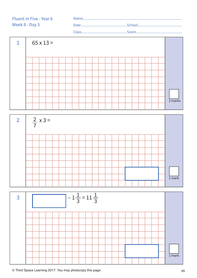





**© Third Space Learning 2017. You may photocopy this page. 15**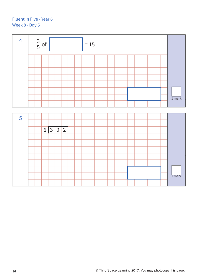